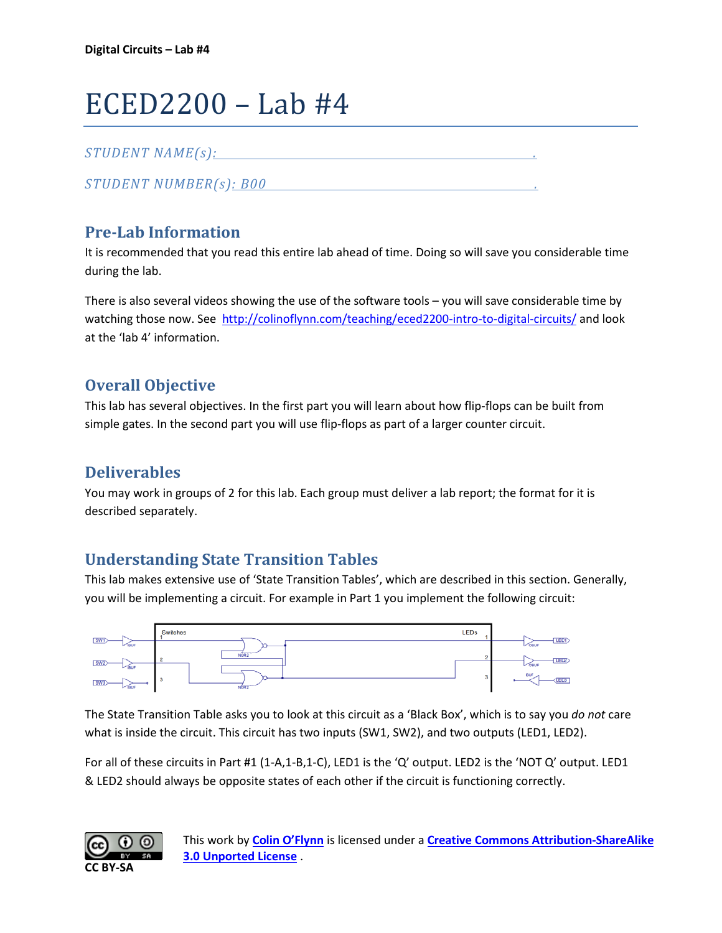# ECED2200 – Lab #4

## *STUDENT NAME(s): .*

*STUDENT NUMBER(s): B00 .* 

# **Pre-Lab Information**

It is recommended that you read this entire lab ahead of time. Doing so will save you considerable time during the lab.

There is also several videos showing the use of the software tools – you will save considerable time by watching those now. See<http://colinoflynn.com/teaching/eced2200-intro-to-digital-circuits/> and look at the 'lab 4' information.

## **Overall Objective**

This lab has several objectives. In the first part you will learn about how flip-flops can be built from simple gates. In the second part you will use flip-flops as part of a larger counter circuit.

# **Deliverables**

You may work in groups of 2 for this lab. Each group must deliver a lab report; the format for it is described separately.

## **Understanding State Transition Tables**

This lab makes extensive use of 'State Transition Tables', which are described in this section. Generally, you will be implementing a circuit. For example in Part 1 you implement the following circuit:



The State Transition Table asks you to look at this circuit as a 'Black Box', which is to say you *do not* care what is inside the circuit. This circuit has two inputs (SW1, SW2), and two outputs (LED1, LED2).

For all of these circuits in Part #1 (1-A,1-B,1-C), LED1 is the 'Q' output. LED2 is the 'NOT Q' output. LED1 & LED2 should always be opposite states of each other if the circuit is functioning correctly.

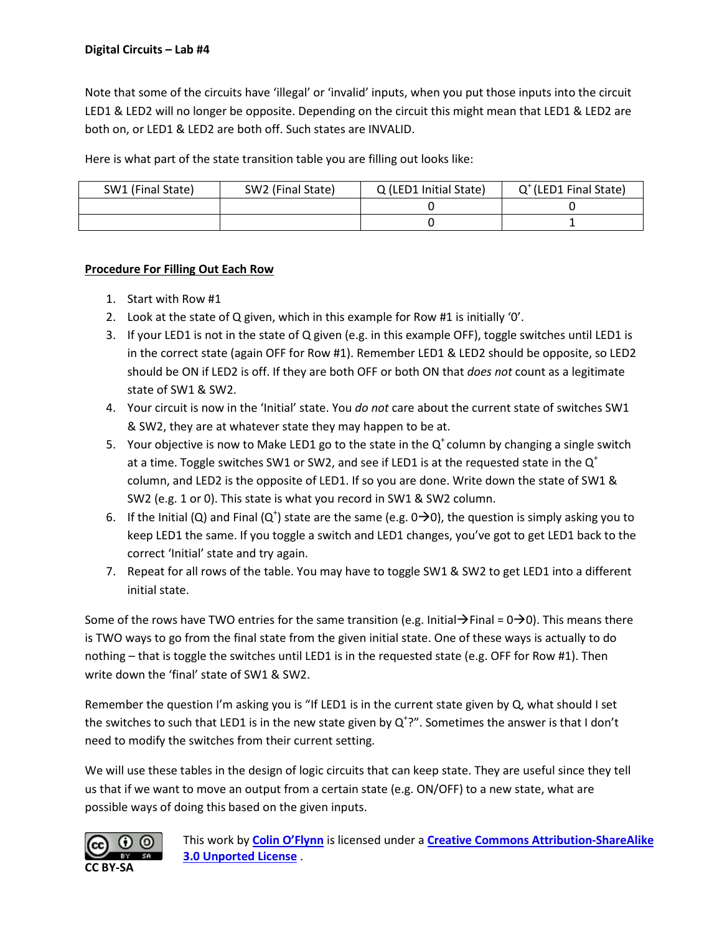Note that some of the circuits have 'illegal' or 'invalid' inputs, when you put those inputs into the circuit LED1 & LED2 will no longer be opposite. Depending on the circuit this might mean that LED1 & LED2 are both on, or LED1 & LED2 are both off. Such states are INVALID.

Here is what part of the state transition table you are filling out looks like:

| SW1 (Final State) | SW2 (Final State) | Q (LED1 Initial State) | $Q^{\dagger}$ (LED1 Final State) |
|-------------------|-------------------|------------------------|----------------------------------|
|                   |                   |                        |                                  |
|                   |                   |                        |                                  |

#### **Procedure For Filling Out Each Row**

- 1. Start with Row #1
- 2. Look at the state of Q given, which in this example for Row #1 is initially '0'.
- 3. If your LED1 is not in the state of Q given (e.g. in this example OFF), toggle switches until LED1 is in the correct state (again OFF for Row #1). Remember LED1 & LED2 should be opposite, so LED2 should be ON if LED2 is off. If they are both OFF or both ON that *does not* count as a legitimate state of SW1 & SW2.
- 4. Your circuit is now in the 'Initial' state. You *do not* care about the current state of switches SW1 & SW2, they are at whatever state they may happen to be at.
- 5. Your objective is now to Make LED1 go to the state in the  $Q^*$  column by changing a single switch at a time. Toggle switches SW1 or SW2, and see if LED1 is at the requested state in the  $Q^+$ column, and LED2 is the opposite of LED1. If so you are done. Write down the state of SW1 & SW2 (e.g. 1 or 0). This state is what you record in SW1 & SW2 column.
- 6. If the Initial (Q) and Final (Q<sup>+</sup>) state are the same (e.g.  $0\rightarrow 0$ ), the question is simply asking you to keep LED1 the same. If you toggle a switch and LED1 changes, you've got to get LED1 back to the correct 'Initial' state and try again.
- 7. Repeat for all rows of the table. You may have to toggle SW1 & SW2 to get LED1 into a different initial state.

Some of the rows have TWO entries for the same transition (e.g. Initial  $\rightarrow$  Final = 0 $\rightarrow$ 0). This means there is TWO ways to go from the final state from the given initial state. One of these ways is actually to do nothing – that is toggle the switches until LED1 is in the requested state (e.g. OFF for Row #1). Then write down the 'final' state of SW1 & SW2.

Remember the question I'm asking you is "If LED1 is in the current state given by Q, what should I set the switches to such that LED1 is in the new state given by  $Q^2$ . Sometimes the answer is that I don't need to modify the switches from their current setting.

We will use these tables in the design of logic circuits that can keep state. They are useful since they tell us that if we want to move an output from a certain state (e.g. ON/OFF) to a new state, what are possible ways of doing this based on the given inputs.

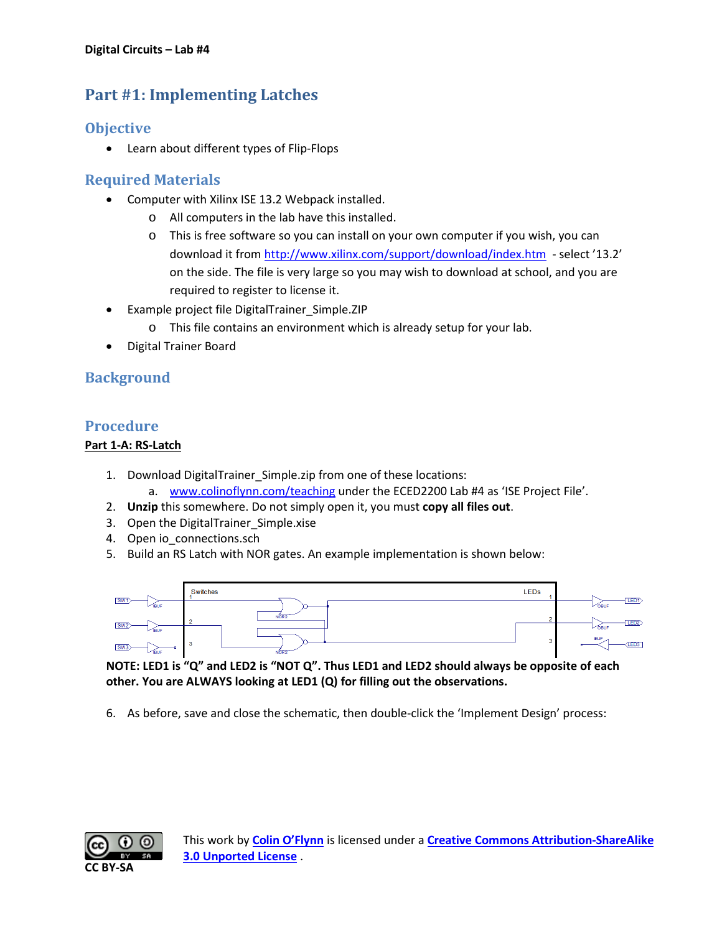# **Part #1: Implementing Latches**

## **Objective**

• Learn about different types of Flip-Flops

## **Required Materials**

- Computer with Xilinx ISE 13.2 Webpack installed.
	- o All computers in the lab have this installed.
	- o This is free software so you can install on your own computer if you wish, you can download it from<http://www.xilinx.com/support/download/index.htm>- select '13.2' on the side. The file is very large so you may wish to download at school, and you are required to register to license it.
- Example project file DigitalTrainer\_Simple.ZIP
	- o This file contains an environment which is already setup for your lab.
- Digital Trainer Board

## **Background**

#### **Procedure**

#### **Part 1-A: RS-Latch**

- 1. Download DigitalTrainer Simple.zip from one of these locations:
	- a. [www.colinoflynn.com/teaching](http://www.colinoflynn.com/teaching) under the ECED2200 Lab #4 as 'ISE Project File'.
- 2. **Unzip** this somewhere. Do not simply open it, you must **copy all files out**.
- 3. Open the DigitalTrainer\_Simple.xise
- 4. Open io\_connections.sch
- 5. Build an RS Latch with NOR gates. An example implementation is shown below:



**NOTE: LED1 is "Q" and LED2 is "NOT Q". Thus LED1 and LED2 should always be opposite of each other. You are ALWAYS looking at LED1 (Q) for filling out the observations.**

6. As before, save and close the schematic, then double-click the 'Implement Design' process:

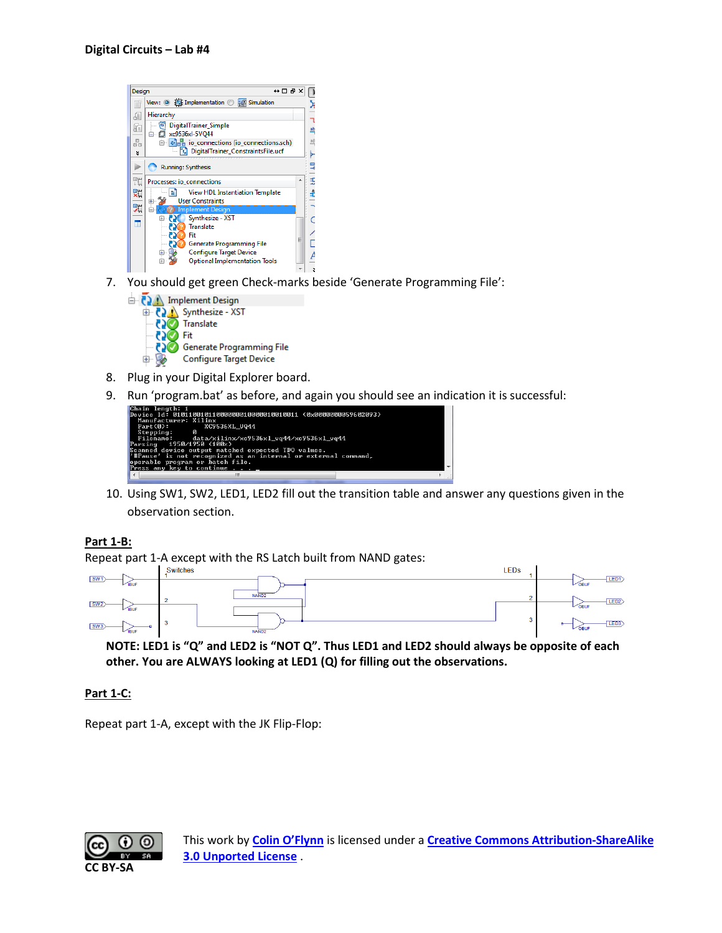- $\leftrightarrow \Box B \times \Box$ Design View: **◎ 德** Implementation ◎ 圖 Simulation λ Hierarchy đ  $\overline{\mathbf{u}}$ DigitalTrainer\_Simple 庙  $\frac{ab}{2}$ → 2 xc9536xl-5VQ44  $\frac{\Box}{\Box \Box}$  $\Box$  **D**<sub>12</sub> io\_connections (io\_connections.sch)<br>  $\Box$  DigitalTrainer\_ConstraintsFile.ucf  $\frac{a}{a}$  $\boldsymbol{z}$ Running: Synthesis L<sub>0</sub> Þ 驰  $\ddot{x}$ Processes: io connections  $\blacksquare$ **View HDL Instantiation Template** £ 虹  $\frac{1}{2}$ User Constraints 驰 白 Synthesize - XST 亩 o  $\mathsf{C}$ ā **EXP** Synthesize<br>**EXP** Translate È **2** Generate Programming File 70 Configure Target Device 亩 A **Optional Implementation Tools** 亩 **x**
- 7. You should get green Check-marks beside 'Generate Programming File':



- 8. Plug in your Digital Explorer board.
- 9. Run 'program.bat' as before, and again you should see an indication it is successful:



10. Using SW1, SW2, LED1, LED2 fill out the transition table and answer any questions given in the observation section.

#### **Part 1-B:**

Repeat part 1-A except with the RS Latch built from NAND gates:<br>I Switches



**NOTE: LED1 is "Q" and LED2 is "NOT Q". Thus LED1 and LED2 should always be opposite of each other. You are ALWAYS looking at LED1 (Q) for filling out the observations.**

#### **Part 1-C:**

Repeat part 1-A, except with the JK Flip-Flop:

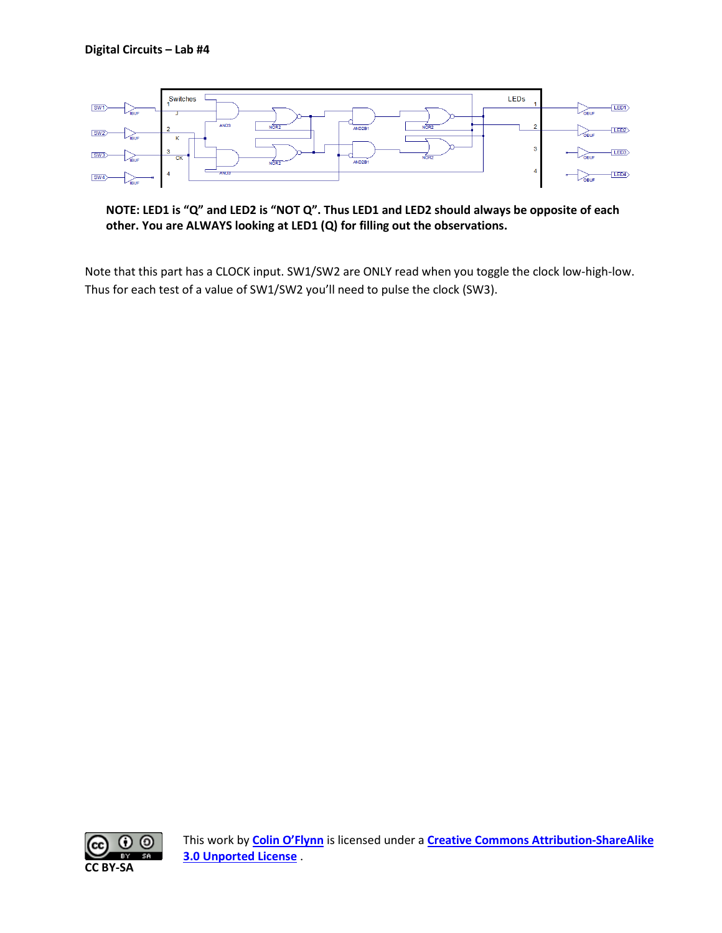

**NOTE: LED1 is "Q" and LED2 is "NOT Q". Thus LED1 and LED2 should always be opposite of each other. You are ALWAYS looking at LED1 (Q) for filling out the observations.**

Note that this part has a CLOCK input. SW1/SW2 are ONLY read when you toggle the clock low-high-low. Thus for each test of a value of SW1/SW2 you'll need to pulse the clock (SW3).

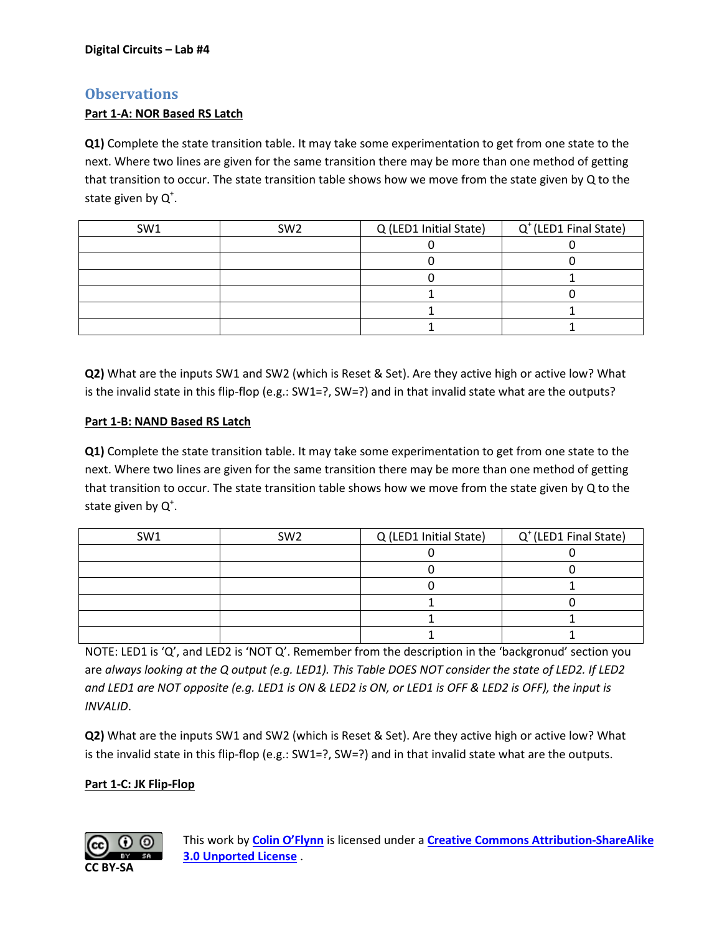### **Observations**

#### **Part 1-A: NOR Based RS Latch**

**Q1)** Complete the state transition table. It may take some experimentation to get from one state to the next. Where two lines are given for the same transition there may be more than one method of getting that transition to occur. The state transition table shows how we move from the state given by Q to the state given by  $Q^*$ .

| SW <sub>1</sub> | SW <sub>2</sub> | Q (LED1 Initial State) | $Q^{\dagger}$ (LED1 Final State) |  |  |  |
|-----------------|-----------------|------------------------|----------------------------------|--|--|--|
|                 |                 |                        |                                  |  |  |  |
|                 |                 |                        |                                  |  |  |  |
|                 |                 |                        |                                  |  |  |  |
|                 |                 |                        |                                  |  |  |  |
|                 |                 |                        |                                  |  |  |  |
|                 |                 |                        |                                  |  |  |  |

**Q2)** What are the inputs SW1 and SW2 (which is Reset & Set). Are they active high or active low? What is the invalid state in this flip-flop (e.g.: SW1=?, SW=?) and in that invalid state what are the outputs?

#### **Part 1-B: NAND Based RS Latch**

**Q1)** Complete the state transition table. It may take some experimentation to get from one state to the next. Where two lines are given for the same transition there may be more than one method of getting that transition to occur. The state transition table shows how we move from the state given by Q to the state given by  $Q^*$ .

| SW <sub>1</sub> | SW <sub>2</sub> | Q (LED1 Initial State) | $Q^{\dagger}$ (LED1 Final State) |
|-----------------|-----------------|------------------------|----------------------------------|
|                 |                 |                        |                                  |
|                 |                 |                        |                                  |
|                 |                 |                        |                                  |
|                 |                 |                        |                                  |
|                 |                 |                        |                                  |
|                 |                 |                        |                                  |

NOTE: LED1 is 'Q', and LED2 is 'NOT Q'. Remember from the description in the 'backgronud' section you are *always looking at the Q output (e.g. LED1). This Table DOES NOT consider the state of LED2. If LED2 and LED1 are NOT opposite (e.g. LED1 is ON & LED2 is ON, or LED1 is OFF & LED2 is OFF), the input is INVALID*.

**Q2)** What are the inputs SW1 and SW2 (which is Reset & Set). Are they active high or active low? What is the invalid state in this flip-flop (e.g.: SW1=?, SW=?) and in that invalid state what are the outputs.

#### **Part 1-C: JK Flip-Flop**

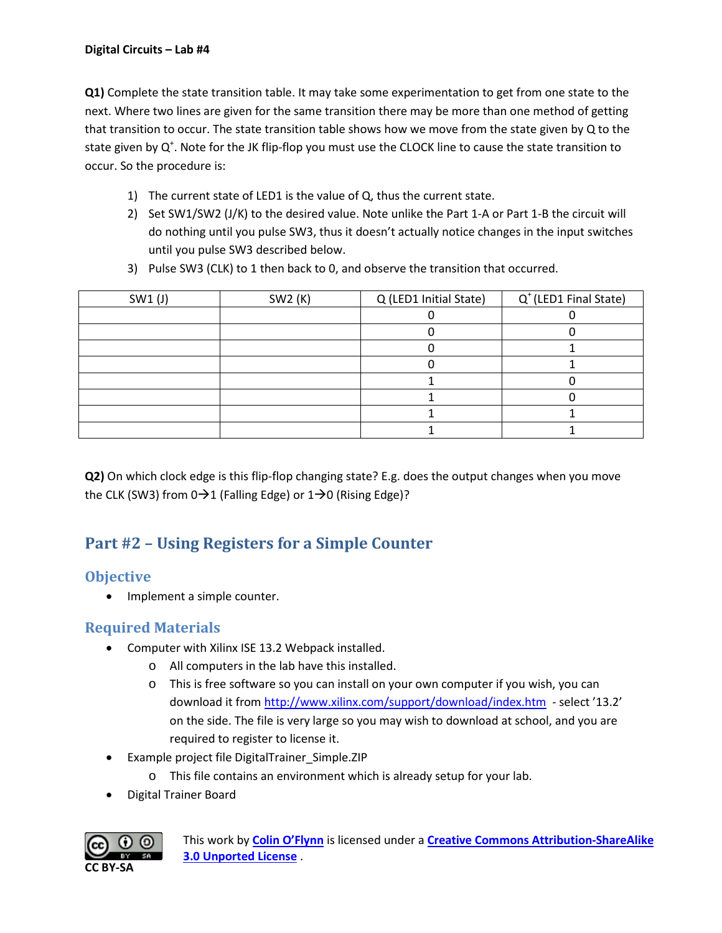**Q1)** Complete the state transition table. It may take some experimentation to get from one state to the next. Where two lines are given for the same transition there may be more than one method of getting that transition to occur. The state transition table shows how we move from the state given by Q to the state given by Q<sup>+</sup>. Note for the JK flip-flop you must use the CLOCK line to cause the state transition to occur. So the procedure is:

- 1) The current state of LED1 is the value of Q, thus the current state.
- 2) Set SW1/SW2 (J/K) to the desired value. Note unlike the Part 1-A or Part 1-B the circuit will do nothing until you pulse SW3, thus it doesn't actually notice changes in the input switches until you pulse SW3 described below.
- 3) Pulse SW3 (CLK) to 1 then back to 0, and observe the transition that occurred.

| SW1 (J) | SW2 (K) | Q (LED1 Initial State) | $Q^{\dagger}$ (LED1 Final State) |  |  |
|---------|---------|------------------------|----------------------------------|--|--|
|         |         |                        |                                  |  |  |
|         |         |                        |                                  |  |  |
|         |         |                        |                                  |  |  |
|         |         |                        |                                  |  |  |
|         |         |                        |                                  |  |  |
|         |         |                        |                                  |  |  |
|         |         |                        |                                  |  |  |
|         |         |                        |                                  |  |  |

**Q2)** On which clock edge is this flip-flop changing state? E.g. does the output changes when you move the CLK (SW3) from  $0\rightarrow 1$  (Falling Edge) or  $1\rightarrow 0$  (Rising Edge)?

# **Part #2 – Using Registers for a Simple Counter**

## **Objective**

• Implement a simple counter.

## **Required Materials**

- Computer with Xilinx ISE 13.2 Webpack installed.
	- o All computers in the lab have this installed.
	- o This is free software so you can install on your own computer if you wish, you can download it from<http://www.xilinx.com/support/download/index.htm>- select '13.2' on the side. The file is very large so you may wish to download at school, and you are required to register to license it.
- Example project file DigitalTrainer\_Simple.ZIP
	- o This file contains an environment which is already setup for your lab.
- Digital Trainer Board

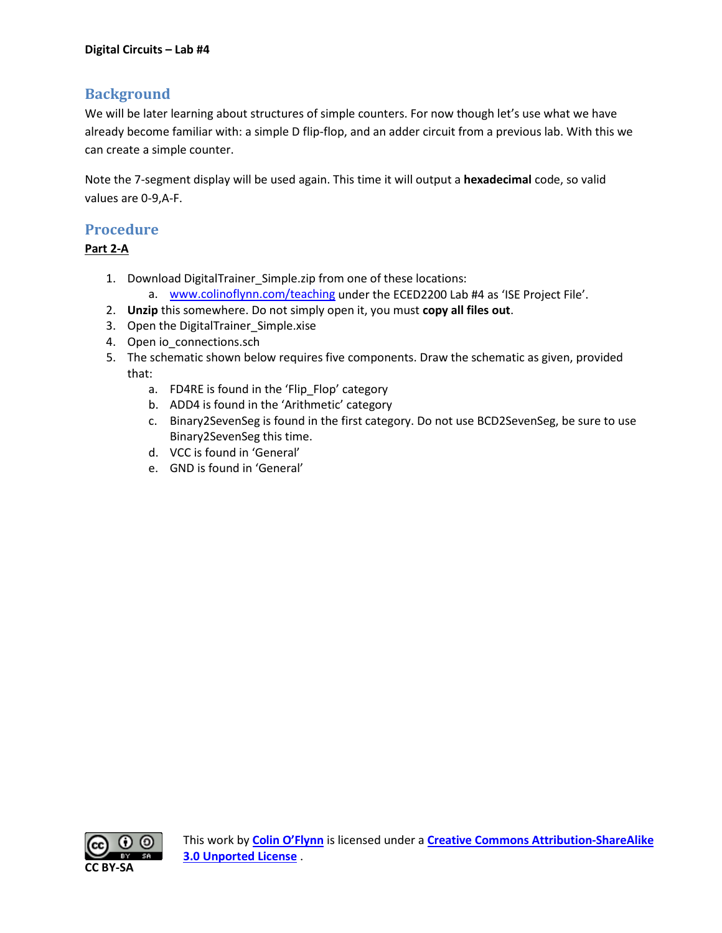## **Background**

We will be later learning about structures of simple counters. For now though let's use what we have already become familiar with: a simple D flip-flop, and an adder circuit from a previous lab. With this we can create a simple counter.

Note the 7-segment display will be used again. This time it will output a **hexadecimal** code, so valid values are 0-9,A-F.

## **Procedure**

#### **Part 2-A**

- 1. Download DigitalTrainer\_Simple.zip from one of these locations:
	- a. [www.colinoflynn.com/teaching](http://www.colinoflynn.com/teaching) under the ECED2200 Lab #4 as 'ISE Project File'.
- 2. **Unzip** this somewhere. Do not simply open it, you must **copy all files out**.
- 3. Open the DigitalTrainer\_Simple.xise
- 4. Open io\_connections.sch
- 5. The schematic shown below requires five components. Draw the schematic as given, provided that:
	- a. FD4RE is found in the 'Flip\_Flop' category
	- b. ADD4 is found in the 'Arithmetic' category
	- c. Binary2SevenSeg is found in the first category. Do not use BCD2SevenSeg, be sure to use Binary2SevenSeg this time.
	- d. VCC is found in 'General'
	- e. GND is found in 'General'

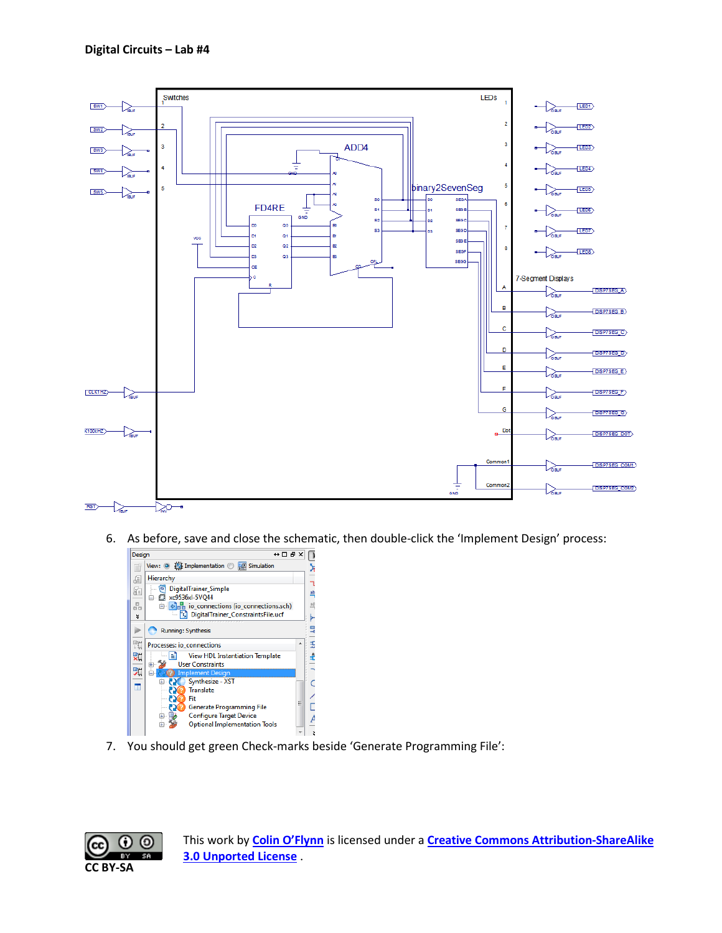

6. As before, save and close the schematic, then double-click the 'Implement Design' process:



7. You should get green Check-marks beside 'Generate Programming File':

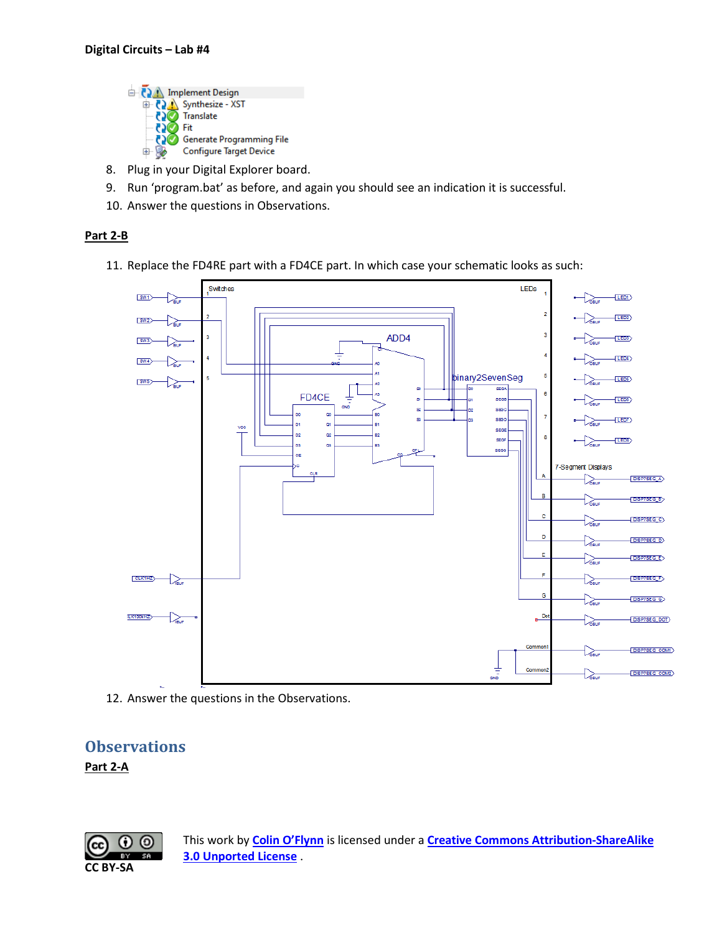

- 8. Plug in your Digital Explorer board.
- 9. Run 'program.bat' as before, and again you should see an indication it is successful.
- 10. Answer the questions in Observations.

#### **Part 2-B**

11. Replace the FD4RE part with a FD4CE part. In which case your schematic looks as such:



12. Answer the questions in the Observations.

## **Observations**

#### **Part 2-A**